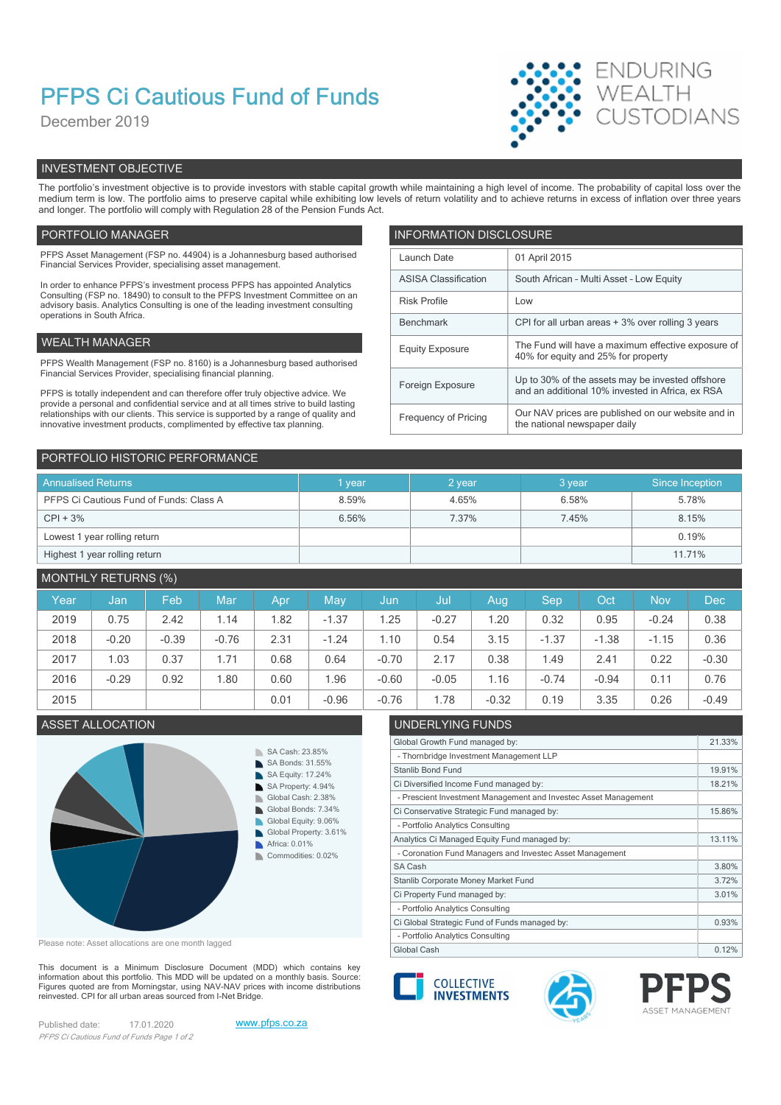# PFPS Ci Cautious Fund of Funds

December 2019



# INVESTMENT OBJECTIVE

The portfolio's investment objective is to provide investors with stable capital growth while maintaining a high level of income. The probability of capital loss over the medium term is low. The portfolio aims to preserve capital while exhibiting low levels of return volatility and to achieve returns in excess of inflation over three years and longer. The portfolio will comply with Regulation 28 of the Pension Funds Act.

# PORTFOLIO MANAGER **INFORMATION DISCLOSURE**

| PFPS Asset Management (FSP no. 44904) is a Johannesburg based authorised<br>Financial Services Provider, specialising asset management.                          | Launch Date                 | 01 April 2015                                                                                        |  |  |  |
|------------------------------------------------------------------------------------------------------------------------------------------------------------------|-----------------------------|------------------------------------------------------------------------------------------------------|--|--|--|
| In order to enhance PFPS's investment process PFPS has appointed Analytics                                                                                       | <b>ASISA Classification</b> | South African - Multi Asset - Low Equity                                                             |  |  |  |
| Consulting (FSP no. 18490) to consult to the PFPS Investment Committee on an<br>advisory basis. Analytics Consulting is one of the leading investment consulting | <b>Risk Profile</b>         | Low                                                                                                  |  |  |  |
| operations in South Africa.                                                                                                                                      | Benchmark                   | CPI for all urban areas + 3% over rolling 3 years                                                    |  |  |  |
| WEALTH MANAGER                                                                                                                                                   | <b>Equity Exposure</b>      | The Fund will have a maximum effective exposure of                                                   |  |  |  |
| PFPS Wealth Management (FSP no. 8160) is a Johannesburg based authorised                                                                                         |                             | 40% for equity and 25% for property                                                                  |  |  |  |
| Financial Services Provider, specialising financial planning.<br>PFPS is totally independent and can therefore offer truly objective advice. We                  | Foreign Exposure            | Up to 30% of the assets may be invested offshore<br>and an additional 10% invested in Africa, ex RSA |  |  |  |
| provide a personal and confidential service and at all times strive to build lasting                                                                             |                             |                                                                                                      |  |  |  |
| relationships with our clients. This service is supported by a range of quality and<br>innovative investment products, complimented by effective tax planning.   | Frequency of Pricing        | Our NAV prices are published on our website and in<br>the national newspaper daily                   |  |  |  |
|                                                                                                                                                                  |                             |                                                                                                      |  |  |  |

| PORTFOLIO HISTORIC PERFORMANCE          |        |        |        |                 |  |  |  |  |
|-----------------------------------------|--------|--------|--------|-----------------|--|--|--|--|
| <b>Annualised Returns</b>               | 1 year | 2 year | 3 year | Since Inception |  |  |  |  |
| PFPS Ci Cautious Fund of Funds: Class A | 8.59%  | 4.65%  | 6.58%  | 5.78%           |  |  |  |  |
| $CPI + 3%$                              | 6.56%  | 7.37%  | 7.45%  | 8.15%           |  |  |  |  |
| Lowest 1 year rolling return            |        |        |        | 0.19%           |  |  |  |  |
| Highest 1 year rolling return           |        |        |        | 11.71%          |  |  |  |  |

# MONTHLY RETURNS (%)

| Year | Jan     | Feb     | Mar     | Apr  | May     | Jun     | Jul     | Aug     | Sep     | Oct     | <b>Nov</b> | <b>Dec</b> |
|------|---------|---------|---------|------|---------|---------|---------|---------|---------|---------|------------|------------|
| 2019 | 0.75    | 2.42    | 1.14    | .82  | $-1.37$ | 1.25    | $-0.27$ | .20     | 0.32    | 0.95    | $-0.24$    | 0.38       |
| 2018 | $-0.20$ | $-0.39$ | $-0.76$ | 2.31 | $-1.24$ | 1.10    | 0.54    | 3.15    | $-1.37$ | $-1.38$ | $-1.15$    | 0.36       |
| 2017 | .03     | 0.37    | 1.71    | 0.68 | 0.64    | $-0.70$ | 2.17    | 0.38    | 1.49    | 2.41    | 0.22       | $-0.30$    |
| 2016 | $-0.29$ | 0.92    | 1.80    | 0.60 | .96     | $-0.60$ | $-0.05$ | 1.16    | $-0.74$ | $-0.94$ | 0.11       | 0.76       |
| 2015 |         |         |         | 0.01 | $-0.96$ | $-0.76$ | .78     | $-0.32$ | 0.19    | 3.35    | 0.26       | $-0.49$    |



Please note: Asset allocations are one month lagged

This document is a Minimum Disclosure Document (MDD) which contains key Financial about this portfolio. This MDD will be updated on a monthly basis. Source:<br>Finances quoted are from Morningstar, using NAV-NAV prices with income distributions Figures quoted are from Morningstar, using NAV-NAV prices with income distributions<br>reinvested. CPI for all urban areas sourced from I-Net Bridge.

Published date: 17.01.2020 www.pfps.co.za PFPS Ci Cautious Fund of Funds Page 1 of 2